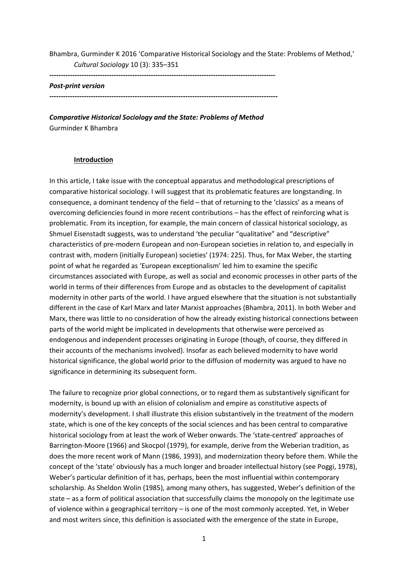Bhambra, Gurminder K 2016 'Comparative Historical Sociology and the State: Problems of Method,' *Cultural Sociology* 10 (3): 335–351

*--------------------------------------------------------------------------------------------------*

### *Post-print version*

*---------------------------------------------------------------------------------------------------*

*Comparative Historical Sociology and the State: Problems of Method* Gurminder K Bhambra

# **Introduction**

In this article, I take issue with the conceptual apparatus and methodological prescriptions of comparative historical sociology. I will suggest that its problematic features are longstanding. In consequence, a dominant tendency of the field – that of returning to the 'classics' as a means of overcoming deficiencies found in more recent contributions – has the effect of reinforcing what is problematic. From its inception, for example, the main concern of classical historical sociology, as Shmuel Eisenstadt suggests, was to understand 'the peculiar "qualitative" and "descriptive" characteristics of pre-modern European and non-European societies in relation to, and especially in contrast with, modern (initially European) societies' (1974: 225). Thus, for Max Weber, the starting point of what he regarded as 'European exceptionalism' led him to examine the specific circumstances associated with Europe, as well as social and economic processes in other parts of the world in terms of their differences from Europe and as obstacles to the development of capitalist modernity in other parts of the world. I have argued elsewhere that the situation is not substantially different in the case of Karl Marx and later Marxist approaches (Bhambra, 2011). In both Weber and Marx, there was little to no consideration of how the already existing historical connections between parts of the world might be implicated in developments that otherwise were perceived as endogenous and independent processes originating in Europe (though, of course, they differed in their accounts of the mechanisms involved). Insofar as each believed modernity to have world historical significance, the global world prior to the diffusion of modernity was argued to have no significance in determining its subsequent form.

The failure to recognize prior global connections, or to regard them as substantively significant for modernity, is bound up with an elision of colonialism and empire as constitutive aspects of modernity's development. I shall illustrate this elision substantively in the treatment of the modern state, which is one of the key concepts of the social sciences and has been central to comparative historical sociology from at least the work of Weber onwards. The 'state-centred' approaches of Barrington-Moore (1966) and Skocpol (1979), for example, derive from the Weberian tradition, as does the more recent work of Mann (1986, 1993), and modernization theory before them. While the concept of the 'state' obviously has a much longer and broader intellectual history (see Poggi, 1978), Weber's particular definition of it has, perhaps, been the most influential within contemporary scholarship. As Sheldon Wolin (1985), among many others, has suggested, Weber's definition of the state – as a form of political association that successfully claims the monopoly on the legitimate use of violence within a geographical territory – is one of the most commonly accepted. Yet, in Weber and most writers since, this definition is associated with the emergence of the state in Europe,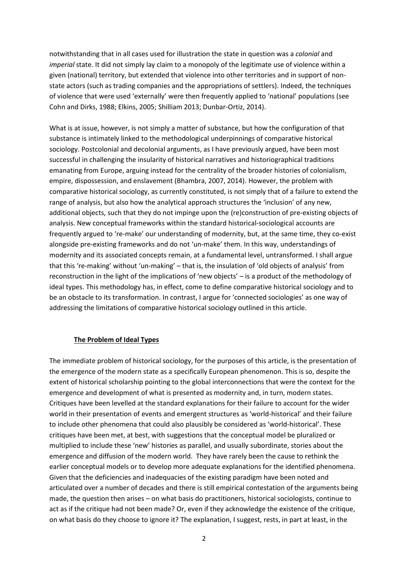notwithstanding that in all cases used for illustration the state in question was a *colonial* and *imperial* state. It did not simply lay claim to a monopoly of the legitimate use of violence within a given (national) territory, but extended that violence into other territories and in support of nonstate actors (such as trading companies and the appropriations of settlers). Indeed, the techniques of violence that were used 'externally' were then frequently applied to 'national' populations (see Cohn and Dirks, 1988; Elkins, 2005; Shilliam 2013; Dunbar-Ortiz, 2014).

What is at issue, however, is not simply a matter of substance, but how the configuration of that substance is intimately linked to the methodological underpinnings of comparative historical sociology. Postcolonial and decolonial arguments, as I have previously argued, have been most successful in challenging the insularity of historical narratives and historiographical traditions emanating from Europe, arguing instead for the centrality of the broader histories of colonialism, empire, dispossession, and enslavement (Bhambra, 2007, 2014). However, the problem with comparative historical sociology, as currently constituted, is not simply that of a failure to extend the range of analysis, but also how the analytical approach structures the 'inclusion' of any new, additional objects, such that they do not impinge upon the (re)construction of pre-existing objects of analysis. New conceptual frameworks within the standard historical-sociological accounts are frequently argued to 're-make' our understanding of modernity, but, at the same time, they co-exist alongside pre-existing frameworks and do not 'un-make' them. In this way, understandings of modernity and its associated concepts remain, at a fundamental level, untransformed. I shall argue that this 're-making' without 'un-making' – that is, the insulation of 'old objects of analysis' from reconstruction in the light of the implications of 'new objects' – is a product of the methodology of ideal types. This methodology has, in effect, come to define comparative historical sociology and to be an obstacle to its transformation. In contrast, I argue for 'connected sociologies' as one way of addressing the limitations of comparative historical sociology outlined in this article.

### **The Problem of Ideal Types**

The immediate problem of historical sociology, for the purposes of this article, is the presentation of the emergence of the modern state as a specifically European phenomenon. This is so, despite the extent of historical scholarship pointing to the global interconnections that were the context for the emergence and development of what is presented as modernity and, in turn, modern states. Critiques have been levelled at the standard explanations for their failure to account for the wider world in their presentation of events and emergent structures as 'world-historical' and their failure to include other phenomena that could also plausibly be considered as 'world-historical'. These critiques have been met, at best, with suggestions that the conceptual model be pluralized or multiplied to include these 'new' histories as parallel, and usually subordinate, stories about the emergence and diffusion of the modern world. They have rarely been the cause to rethink the earlier conceptual models or to develop more adequate explanations for the identified phenomena. Given that the deficiencies and inadequacies of the existing paradigm have been noted and articulated over a number of decades and there is still empirical contestation of the arguments being made, the question then arises – on what basis do practitioners, historical sociologists, continue to act as if the critique had not been made? Or, even if they acknowledge the existence of the critique, on what basis do they choose to ignore it? The explanation, I suggest, rests, in part at least, in the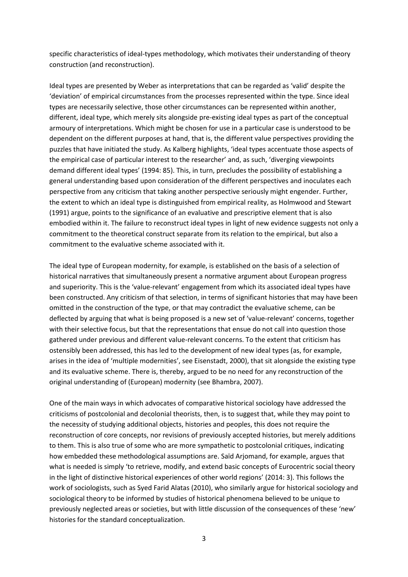specific characteristics of ideal-types methodology, which motivates their understanding of theory construction (and reconstruction).

Ideal types are presented by Weber as interpretations that can be regarded as 'valid' despite the 'deviation' of empirical circumstances from the processes represented within the type. Since ideal types are necessarily selective, those other circumstances can be represented within another, different, ideal type, which merely sits alongside pre-existing ideal types as part of the conceptual armoury of interpretations. Which might be chosen for use in a particular case is understood to be dependent on the different purposes at hand, that is, the different value perspectives providing the puzzles that have initiated the study. As Kalberg highlights, 'ideal types accentuate those aspects of the empirical case of particular interest to the researcher' and, as such, 'diverging viewpoints demand different ideal types' (1994: 85). This, in turn, precludes the possibility of establishing a general understanding based upon consideration of the different perspectives and inoculates each perspective from any criticism that taking another perspective seriously might engender. Further, the extent to which an ideal type is distinguished from empirical reality, as Holmwood and Stewart (1991) argue, points to the significance of an evaluative and prescriptive element that is also embodied within it. The failure to reconstruct ideal types in light of new evidence suggests not only a commitment to the theoretical construct separate from its relation to the empirical, but also a commitment to the evaluative scheme associated with it.

The ideal type of European modernity, for example, is established on the basis of a selection of historical narratives that simultaneously present a normative argument about European progress and superiority. This is the 'value-relevant' engagement from which its associated ideal types have been constructed. Any criticism of that selection, in terms of significant histories that may have been omitted in the construction of the type, or that may contradict the evaluative scheme, can be deflected by arguing that what is being proposed is a new set of 'value-relevant' concerns, together with their selective focus, but that the representations that ensue do not call into question those gathered under previous and different value-relevant concerns. To the extent that criticism has ostensibly been addressed, this has led to the development of new ideal types (as, for example, arises in the idea of 'multiple modernities', see Eisenstadt, 2000), that sit alongside the existing type and its evaluative scheme. There is, thereby, argued to be no need for any reconstruction of the original understanding of (European) modernity (see Bhambra, 2007).

One of the main ways in which advocates of comparative historical sociology have addressed the criticisms of postcolonial and decolonial theorists, then, is to suggest that, while they may point to the necessity of studying additional objects, histories and peoples, this does not require the reconstruction of core concepts, nor revisions of previously accepted histories, but merely additions to them. This is also true of some who are more sympathetic to postcolonial critiques, indicating how embedded these methodological assumptions are. Saïd Arjomand, for example, argues that what is needed is simply 'to retrieve, modify, and extend basic concepts of Eurocentric social theory in the light of distinctive historical experiences of other world regions' (2014: 3). This follows the work of sociologists, such as Syed Farid Alatas (2010), who similarly argue for historical sociology and sociological theory to be informed by studies of historical phenomena believed to be unique to previously neglected areas or societies, but with little discussion of the consequences of these 'new' histories for the standard conceptualization.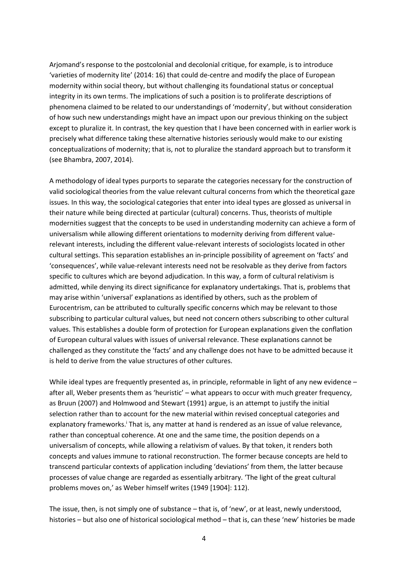Arjomand's response to the postcolonial and decolonial critique, for example, is to introduce 'varieties of modernity lite' (2014: 16) that could de-centre and modify the place of European modernity within social theory, but without challenging its foundational status or conceptual integrity in its own terms. The implications of such a position is to proliferate descriptions of phenomena claimed to be related to our understandings of 'modernity', but without consideration of how such new understandings might have an impact upon our previous thinking on the subject except to pluralize it. In contrast, the key question that I have been concerned with in earlier work is precisely what difference taking these alternative histories seriously would make to our existing conceptualizations of modernity; that is, not to pluralize the standard approach but to transform it (see Bhambra, 2007, 2014).

A methodology of ideal types purports to separate the categories necessary for the construction of valid sociological theories from the value relevant cultural concerns from which the theoretical gaze issues. In this way, the sociological categories that enter into ideal types are glossed as universal in their nature while being directed at particular (cultural) concerns. Thus, theorists of multiple modernities suggest that the concepts to be used in understanding modernity can achieve a form of universalism while allowing different orientations to modernity deriving from different valuerelevant interests, including the different value-relevant interests of sociologists located in other cultural settings. This separation establishes an in-principle possibility of agreement on 'facts' and 'consequences', while value-relevant interests need not be resolvable as they derive from factors specific to cultures which are beyond adjudication. In this way, a form of cultural relativism is admitted, while denying its direct significance for explanatory undertakings. That is, problems that may arise within 'universal' explanations as identified by others, such as the problem of Eurocentrism, can be attributed to culturally specific concerns which may be relevant to those subscribing to particular cultural values, but need not concern others subscribing to other cultural values. This establishes a double form of protection for European explanations given the conflation of European cultural values with issues of universal relevance. These explanations cannot be challenged as they constitute the 'facts' and any challenge does not have to be admitted because it is held to derive from the value structures of other cultures.

While ideal types are frequently presented as, in principle, reformable in light of any new evidence – after all, Weber presents them as 'heuristic' – what appears to occur with much greater frequency, as Bruun (2007) and Holmwood and Stewart (1991) argue, is an attempt to justify the initial selection rather than to account for the new material within revised conceptual categories and explanatory frameworks.<sup>i</sup> That is, any matter at hand is rendered as an issue of value relevance, rather than conceptual coherence. At one and the same time, the position depends on a universalism of concepts, while allowing a relativism of values. By that token, it renders both concepts and values immune to rational reconstruction. The former because concepts are held to transcend particular contexts of application including 'deviations' from them, the latter because processes of value change are regarded as essentially arbitrary. 'The light of the great cultural problems moves on,' as Weber himself writes (1949 [1904]: 112).

The issue, then, is not simply one of substance – that is, of 'new', or at least, newly understood, histories – but also one of historical sociological method – that is, can these 'new' histories be made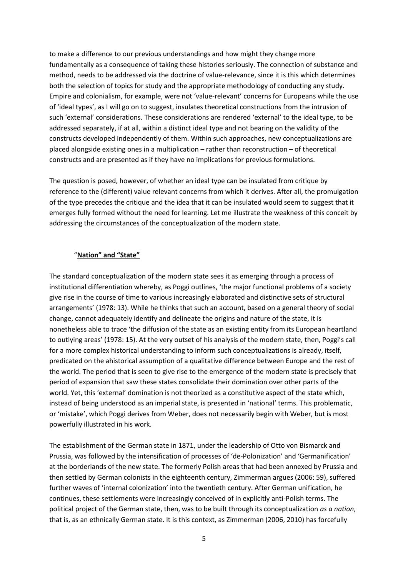to make a difference to our previous understandings and how might they change more fundamentally as a consequence of taking these histories seriously. The connection of substance and method, needs to be addressed via the doctrine of value-relevance, since it is this which determines both the selection of topics for study and the appropriate methodology of conducting any study. Empire and colonialism, for example, were not 'value-relevant' concerns for Europeans while the use of 'ideal types', as I will go on to suggest, insulates theoretical constructions from the intrusion of such 'external' considerations. These considerations are rendered 'external' to the ideal type, to be addressed separately, if at all, within a distinct ideal type and not bearing on the validity of the constructs developed independently of them. Within such approaches, new conceptualizations are placed alongside existing ones in a multiplication – rather than reconstruction – of theoretical constructs and are presented as if they have no implications for previous formulations.

The question is posed, however, of whether an ideal type can be insulated from critique by reference to the (different) value relevant concerns from which it derives. After all, the promulgation of the type precedes the critique and the idea that it can be insulated would seem to suggest that it emerges fully formed without the need for learning. Let me illustrate the weakness of this conceit by addressing the circumstances of the conceptualization of the modern state.

# "**Nation" and "State"**

The standard conceptualization of the modern state sees it as emerging through a process of institutional differentiation whereby, as Poggi outlines, 'the major functional problems of a society give rise in the course of time to various increasingly elaborated and distinctive sets of structural arrangements' (1978: 13). While he thinks that such an account, based on a general theory of social change, cannot adequately identify and delineate the origins and nature of the state, it is nonetheless able to trace 'the diffusion of the state as an existing entity from its European heartland to outlying areas' (1978: 15). At the very outset of his analysis of the modern state, then, Poggi's call for a more complex historical understanding to inform such conceptualizations is already, itself, predicated on the ahistorical assumption of a qualitative difference between Europe and the rest of the world. The period that is seen to give rise to the emergence of the modern state is precisely that period of expansion that saw these states consolidate their domination over other parts of the world. Yet, this 'external' domination is not theorized as a constitutive aspect of the state which, instead of being understood as an imperial state, is presented in 'national' terms. This problematic, or 'mistake', which Poggi derives from Weber, does not necessarily begin with Weber, but is most powerfully illustrated in his work.

The establishment of the German state in 1871, under the leadership of Otto von Bismarck and Prussia, was followed by the intensification of processes of 'de-Polonization' and 'Germanification' at the borderlands of the new state. The formerly Polish areas that had been annexed by Prussia and then settled by German colonists in the eighteenth century, Zimmerman argues (2006: 59), suffered further waves of 'internal colonization' into the twentieth century. After German unification, he continues, these settlements were increasingly conceived of in explicitly anti-Polish terms. The political project of the German state, then, was to be built through its conceptualization *as a nation*, that is, as an ethnically German state. It is this context, as Zimmerman (2006, 2010) has forcefully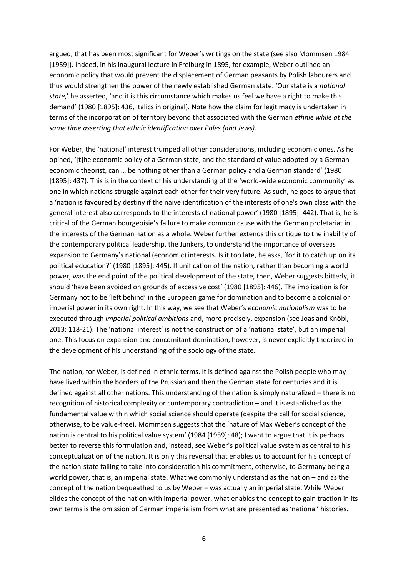argued, that has been most significant for Weber's writings on the state (see also Mommsen 1984 [1959]). Indeed, in his inaugural lecture in Freiburg in 1895, for example, Weber outlined an economic policy that would prevent the displacement of German peasants by Polish labourers and thus would strengthen the power of the newly established German state. 'Our state is a *national state*,' he asserted, 'and it is this circumstance which makes us feel we have a right to make this demand' (1980 [1895]: 436, italics in original). Note how the claim for legitimacy is undertaken in terms of the incorporation of territory beyond that associated with the German *ethnie while at the same time asserting that ethnic identification over Poles (and Jews)*.

For Weber, the 'national' interest trumped all other considerations, including economic ones. As he opined, '[t]he economic policy of a German state, and the standard of value adopted by a German economic theorist, can … be nothing other than a German policy and a German standard' (1980 [1895]: 437). This is in the context of his understanding of the 'world-wide economic community' as one in which nations struggle against each other for their very future. As such, he goes to argue that a 'nation is favoured by destiny if the naive identification of the interests of one's own class with the general interest also corresponds to the interests of national power' (1980 [1895]: 442). That is, he is critical of the German bourgeoisie's failure to make common cause with the German proletariat in the interests of the German nation as a whole. Weber further extends this critique to the inability of the contemporary political leadership, the Junkers, to understand the importance of overseas expansion to Germany's national (economic) interests. Is it too late, he asks, 'for it to catch up on its political education?' (1980 [1895]: 445). If unification of the nation, rather than becoming a world power, was the end point of the political development of the state, then, Weber suggests bitterly, it should 'have been avoided on grounds of excessive cost' (1980 [1895]: 446). The implication is for Germany not to be 'left behind' in the European game for domination and to become a colonial or imperial power in its own right. In this way, we see that Weber's *economic nationalism* was to be executed through *imperial political ambitions* and, more precisely, expansion (see Joas and Knöbl, 2013: 118-21). The 'national interest' is not the construction of a 'national state', but an imperial one. This focus on expansion and concomitant domination, however, is never explicitly theorized in the development of his understanding of the sociology of the state.

The nation, for Weber, is defined in ethnic terms. It is defined against the Polish people who may have lived within the borders of the Prussian and then the German state for centuries and it is defined against all other nations. This understanding of the nation is simply naturalized – there is no recognition of historical complexity or contemporary contradiction – and it is established as the fundamental value within which social science should operate (despite the call for social science, otherwise, to be value-free). Mommsen suggests that the 'nature of Max Weber's concept of the nation is central to his political value system' (1984 [1959]: 48); I want to argue that it is perhaps better to reverse this formulation and, instead, see Weber's political value system as central to his conceptualization of the nation. It is only this reversal that enables us to account for his concept of the nation-state failing to take into consideration his commitment, otherwise, to Germany being a world power, that is, an imperial state. What we commonly understand as the nation – and as the concept of the nation bequeathed to us by Weber – was actually an imperial state. While Weber elides the concept of the nation with imperial power, what enables the concept to gain traction in its own terms is the omission of German imperialism from what are presented as 'national' histories.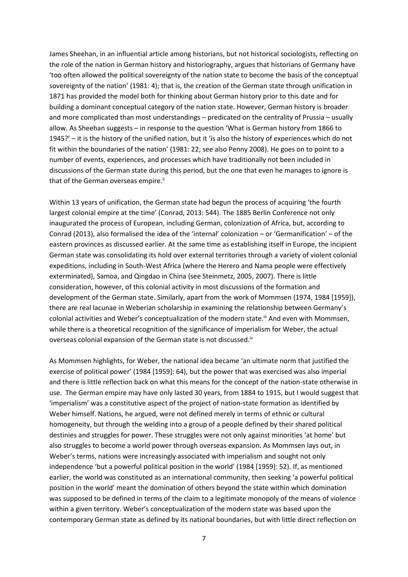James Sheehan, in an influential article among historians, but not historical sociologists, reflecting on the role of the nation in German history and historiography, argues that historians of Germany have 'too often allowed the political sovereignty of the nation state to become the basis of the conceptual sovereignty of the nation' (1981: 4); that is, the creation of the German state through unification in 1871 has provided the model both for thinking about German history prior to this date and for building a dominant conceptual category of the nation state. However, German history is broader and more complicated than most understandings – predicated on the centrality of Prussia – usually allow. As Sheehan suggests – in response to the question 'What is German history from 1866 to 1945?' – it is the history of the unified nation, but it 'is also the history of experiences which do not fit within the boundaries of the nation' (1981: 22; see also Penny 2008). He goes on to point to a number of events, experiences, and processes which have traditionally not been included in discussions of the German state during this period, but the one that even he manages to ignore is that of the German overseas empire.<sup>ii</sup>

Within 13 years of unification, the German state had begun the process of acquiring 'the fourth largest colonial empire at the time' (Conrad, 2013: 544). The 1885 Berlin Conference not only inaugurated the process of European, including German, colonization of Africa, but, according to Conrad (2013), also formalised the idea of the 'internal' colonization – or 'Germanification' – of the eastern provinces as discussed earlier. At the same time as establishing itself in Europe, the incipient German state was consolidating its hold over external territories through a variety of violent colonial expeditions, including in South-West Africa (where the Herero and Nama people were effectively exterminated), Samoa, and Qingdao in China (see Steinmetz, 2005, 2007). There is little consideration, however, of this colonial activity in most discussions of the formation and development of the German state. Similarly, apart from the work of Mommsen (1974, 1984 [1959]), there are real lacunae in Weberian scholarship in examining the relationship between Germany's colonial activities and Weber's conceptualization of the modern state.<sup>ii</sup> And even with Mommsen, while there is a theoretical recognition of the significance of imperialism for Weber, the actual overseas colonial expansion of the German state is not discussed.<sup>iv</sup>

As Mommsen highlights, for Weber, the national idea became 'an ultimate norm that justified the exercise of political power' (1984 [1959]: 64), but the power that was exercised was also imperial and there is little reflection back on what this means for the concept of the nation-state otherwise in use. The German empire may have only lasted 30 years, from 1884 to 1915, but I would suggest that 'imperialism' was a constitutive aspect of the project of nation-state formation as identified by Weber himself. Nations, he argued, were not defined merely in terms of ethnic or cultural homogeneity, but through the welding into a group of a people defined by their shared political destinies and struggles for power. These struggles were not only against minorities 'at home' but also struggles to become a world power through overseas expansion. As Mommsen lays out, in Weber's terms, nations were increasingly associated with imperialism and sought not only independence 'but a powerful political position in the world' (1984 [1959]: 52). If, as mentioned earlier, the world was constituted as an international community, then seeking 'a powerful political position in the world' meant the domination of others beyond the state within which domination was supposed to be defined in terms of the claim to a legitimate monopoly of the means of violence within a given territory. Weber's conceptualization of the modern state was based upon the contemporary German state as defined by its national boundaries, but with little direct reflection on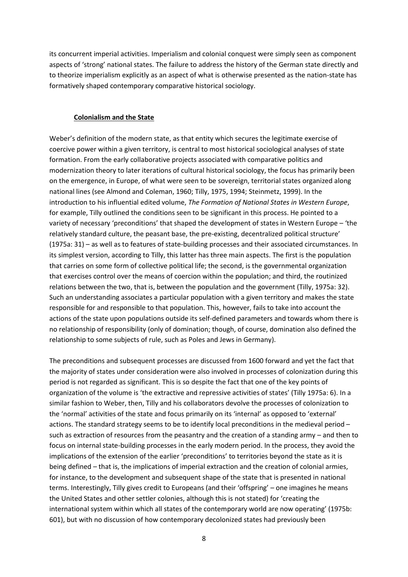its concurrent imperial activities. Imperialism and colonial conquest were simply seen as component aspects of 'strong' national states. The failure to address the history of the German state directly and to theorize imperialism explicitly as an aspect of what is otherwise presented as the nation-state has formatively shaped contemporary comparative historical sociology.

### **Colonialism and the State**

Weber's definition of the modern state, as that entity which secures the legitimate exercise of coercive power within a given territory, is central to most historical sociological analyses of state formation. From the early collaborative projects associated with comparative politics and modernization theory to later iterations of cultural historical sociology, the focus has primarily been on the emergence, in Europe, of what were seen to be sovereign, territorial states organized along national lines (see Almond and Coleman, 1960; Tilly, 1975, 1994; Steinmetz, 1999). In the introduction to his influential edited volume, *The Formation of National States in Western Europe*, for example, Tilly outlined the conditions seen to be significant in this process. He pointed to a variety of necessary 'preconditions' that shaped the development of states in Western Europe – 'the relatively standard culture, the peasant base, the pre-existing, decentralized political structure' (1975a: 31) – as well as to features of state-building processes and their associated circumstances. In its simplest version, according to Tilly, this latter has three main aspects. The first is the population that carries on some form of collective political life; the second, is the governmental organization that exercises control over the means of coercion within the population; and third, the routinized relations between the two, that is, between the population and the government (Tilly, 1975a: 32). Such an understanding associates a particular population with a given territory and makes the state responsible for and responsible to that population. This, however, fails to take into account the actions of the state upon populations outside its self-defined parameters and towards whom there is no relationship of responsibility (only of domination; though, of course, domination also defined the relationship to some subjects of rule, such as Poles and Jews in Germany).

The preconditions and subsequent processes are discussed from 1600 forward and yet the fact that the majority of states under consideration were also involved in processes of colonization during this period is not regarded as significant. This is so despite the fact that one of the key points of organization of the volume is 'the extractive and repressive activities of states' (Tilly 1975a: 6). In a similar fashion to Weber, then, Tilly and his collaborators devolve the processes of colonization to the 'normal' activities of the state and focus primarily on its 'internal' as opposed to 'external' actions. The standard strategy seems to be to identify local preconditions in the medieval period – such as extraction of resources from the peasantry and the creation of a standing army – and then to focus on internal state-building processes in the early modern period. In the process, they avoid the implications of the extension of the earlier 'preconditions' to territories beyond the state as it is being defined – that is, the implications of imperial extraction and the creation of colonial armies, for instance, to the development and subsequent shape of the state that is presented in national terms. Interestingly, Tilly gives credit to Europeans (and their 'offspring' – one imagines he means the United States and other settler colonies, although this is not stated) for 'creating the international system within which all states of the contemporary world are now operating' (1975b: 601), but with no discussion of how contemporary decolonized states had previously been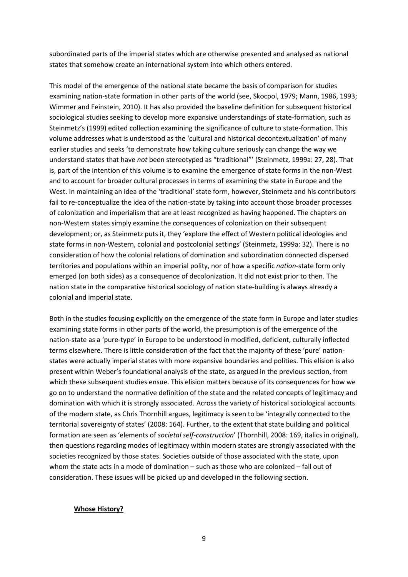subordinated parts of the imperial states which are otherwise presented and analysed as national states that somehow create an international system into which others entered.

This model of the emergence of the national state became the basis of comparison for studies examining nation-state formation in other parts of the world (see, Skocpol, 1979; Mann, 1986, 1993; Wimmer and Feinstein, 2010). It has also provided the baseline definition for subsequent historical sociological studies seeking to develop more expansive understandings of state-formation, such as Steinmetz's (1999) edited collection examining the significance of culture to state-formation. This volume addresses what is understood as the 'cultural and historical decontextualization' of many earlier studies and seeks 'to demonstrate how taking culture seriously can change the way we understand states that have *not* been stereotyped as "traditional"' (Steinmetz, 1999a: 27, 28). That is, part of the intention of this volume is to examine the emergence of state forms in the non-West and to account for broader cultural processes in terms of examining the state in Europe and the West. In maintaining an idea of the 'traditional' state form, however, Steinmetz and his contributors fail to re-conceptualize the idea of the nation-state by taking into account those broader processes of colonization and imperialism that are at least recognized as having happened. The chapters on non-Western states simply examine the consequences of colonization on their subsequent development; or, as Steinmetz puts it, they 'explore the effect of Western political ideologies and state forms in non-Western, colonial and postcolonial settings' (Steinmetz, 1999a: 32). There is no consideration of how the colonial relations of domination and subordination connected dispersed territories and populations within an imperial polity, nor of how a specific *nation*-state form only emerged (on both sides) as a consequence of decolonization. It did not exist prior to then. The nation state in the comparative historical sociology of nation state-building is always already a colonial and imperial state.

Both in the studies focusing explicitly on the emergence of the state form in Europe and later studies examining state forms in other parts of the world, the presumption is of the emergence of the nation-state as a 'pure-type' in Europe to be understood in modified, deficient, culturally inflected terms elsewhere. There is little consideration of the fact that the majority of these 'pure' nationstates were actually imperial states with more expansive boundaries and polities. This elision is also present within Weber's foundational analysis of the state, as argued in the previous section, from which these subsequent studies ensue. This elision matters because of its consequences for how we go on to understand the normative definition of the state and the related concepts of legitimacy and domination with which it is strongly associated. Across the variety of historical sociological accounts of the modern state, as Chris Thornhill argues, legitimacy is seen to be 'integrally connected to the territorial sovereignty of states' (2008: 164). Further, to the extent that state building and political formation are seen as 'elements of *societal self-construction*' (Thornhill, 2008: 169, italics in original), then questions regarding modes of legitimacy within modern states are strongly associated with the societies recognized by those states. Societies outside of those associated with the state, upon whom the state acts in a mode of domination – such as those who are colonized – fall out of consideration. These issues will be picked up and developed in the following section.

#### **Whose History?**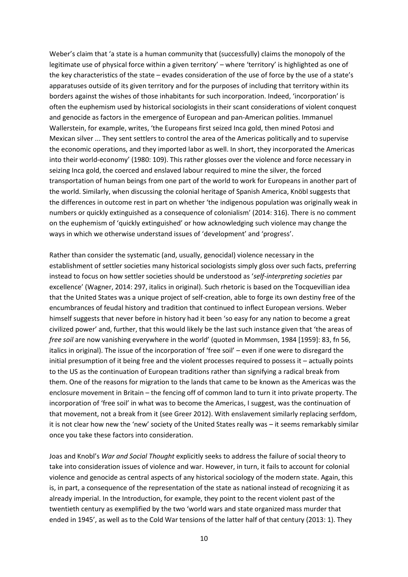Weber's claim that 'a state is a human community that (successfully) claims the monopoly of the legitimate use of physical force within a given territory' – where 'territory' is highlighted as one of the key characteristics of the state – evades consideration of the use of force by the use of a state's apparatuses outside of its given territory and for the purposes of including that territory within its borders against the wishes of those inhabitants for such incorporation. Indeed, 'incorporation' is often the euphemism used by historical sociologists in their scant considerations of violent conquest and genocide as factors in the emergence of European and pan-American polities. Immanuel Wallerstein, for example, writes, 'the Europeans first seized Inca gold, then mined Potosi and Mexican silver ... They sent settlers to control the area of the Americas politically and to supervise the economic operations, and they imported labor as well. In short, they incorporated the Americas into their world-economy' (1980: 109). This rather glosses over the violence and force necessary in seizing Inca gold, the coerced and enslaved labour required to mine the silver, the forced transportation of human beings from one part of the world to work for Europeans in another part of the world. Similarly, when discussing the colonial heritage of Spanish America, Knöbl suggests that the differences in outcome rest in part on whether 'the indigenous population was originally weak in numbers or quickly extinguished as a consequence of colonialism' (2014: 316). There is no comment on the euphemism of 'quickly extinguished' or how acknowledging such violence may change the ways in which we otherwise understand issues of 'development' and 'progress'.

Rather than consider the systematic (and, usually, genocidal) violence necessary in the establishment of settler societies many historical sociologists simply gloss over such facts, preferring instead to focus on how settler societies should be understood as '*self-interpreting societies* par excellence' (Wagner, 2014: 297, italics in original). Such rhetoric is based on the Tocquevillian idea that the United States was a unique project of self-creation, able to forge its own destiny free of the encumbrances of feudal history and tradition that continued to inflect European versions. Weber himself suggests that never before in history had it been 'so easy for any nation to become a great civilized power' and, further, that this would likely be the last such instance given that 'the areas of *free soil* are now vanishing everywhere in the world' (quoted in Mommsen, 1984 [1959]: 83, fn 56, italics in original). The issue of the incorporation of 'free soil' – even if one were to disregard the initial presumption of it being free and the violent processes required to possess it – actually points to the US as the continuation of European traditions rather than signifying a radical break from them. One of the reasons for migration to the lands that came to be known as the Americas was the enclosure movement in Britain – the fencing off of common land to turn it into private property. The incorporation of 'free soil' in what was to become the Americas, I suggest, was the continuation of that movement, not a break from it (see Greer 2012). With enslavement similarly replacing serfdom, it is not clear how new the 'new' society of the United States really was – it seems remarkably similar once you take these factors into consideration.

Joas and Knobl's *War and Social Thought* explicitly seeks to address the failure of social theory to take into consideration issues of violence and war. However, in turn, it fails to account for colonial violence and genocide as central aspects of any historical sociology of the modern state. Again, this is, in part, a consequence of the representation of the state as national instead of recognizing it as already imperial. In the Introduction, for example, they point to the recent violent past of the twentieth century as exemplified by the two 'world wars and state organized mass murder that ended in 1945', as well as to the Cold War tensions of the latter half of that century (2013: 1). They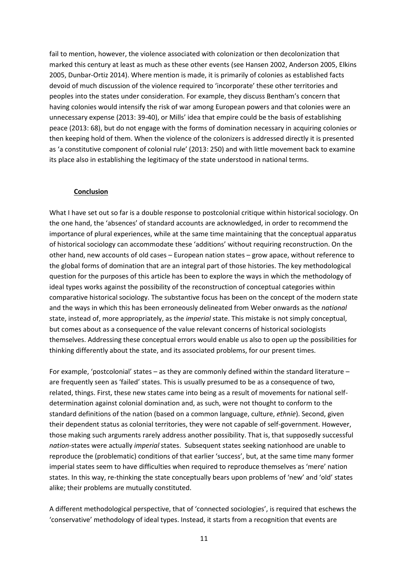fail to mention, however, the violence associated with colonization or then decolonization that marked this century at least as much as these other events (see Hansen 2002, Anderson 2005, Elkins 2005, Dunbar-Ortiz 2014). Where mention is made, it is primarily of colonies as established facts devoid of much discussion of the violence required to 'incorporate' these other territories and peoples into the states under consideration. For example, they discuss Bentham's concern that having colonies would intensify the risk of war among European powers and that colonies were an unnecessary expense (2013: 39-40), or Mills' idea that empire could be the basis of establishing peace (2013: 68), but do not engage with the forms of domination necessary in acquiring colonies or then keeping hold of them. When the violence of the colonizers is addressed directly it is presented as 'a constitutive component of colonial rule' (2013: 250) and with little movement back to examine its place also in establishing the legitimacy of the state understood in national terms.

#### **Conclusion**

What I have set out so far is a double response to postcolonial critique within historical sociology. On the one hand, the 'absences' of standard accounts are acknowledged, in order to recommend the importance of plural experiences, while at the same time maintaining that the conceptual apparatus of historical sociology can accommodate these 'additions' without requiring reconstruction. On the other hand, new accounts of old cases – European nation states – grow apace, without reference to the global forms of domination that are an integral part of those histories. The key methodological question for the purposes of this article has been to explore the ways in which the methodology of ideal types works against the possibility of the reconstruction of conceptual categories within comparative historical sociology. The substantive focus has been on the concept of the modern state and the ways in which this has been erroneously delineated from Weber onwards as the *national*  state, instead of, more appropriately, as the *imperial* state. This mistake is not simply conceptual, but comes about as a consequence of the value relevant concerns of historical sociologists themselves. Addressing these conceptual errors would enable us also to open up the possibilities for thinking differently about the state, and its associated problems, for our present times.

For example, 'postcolonial' states – as they are commonly defined within the standard literature – are frequently seen as 'failed' states. This is usually presumed to be as a consequence of two, related, things. First, these new states came into being as a result of movements for national selfdetermination against colonial domination and, as such, were not thought to conform to the standard definitions of the nation (based on a common language, culture, *ethnie*). Second, given their dependent status as colonial territories, they were not capable of self-government. However, those making such arguments rarely address another possibility. That is, that supposedly successful *nation*-states were actually *imperial* states. Subsequent states seeking nationhood are unable to reproduce the (problematic) conditions of that earlier 'success', but, at the same time many former imperial states seem to have difficulties when required to reproduce themselves as 'mere' nation states. In this way, re-thinking the state conceptually bears upon problems of 'new' and 'old' states alike; their problems are mutually constituted.

A different methodological perspective, that of 'connected sociologies', is required that eschews the 'conservative' methodology of ideal types. Instead, it starts from a recognition that events are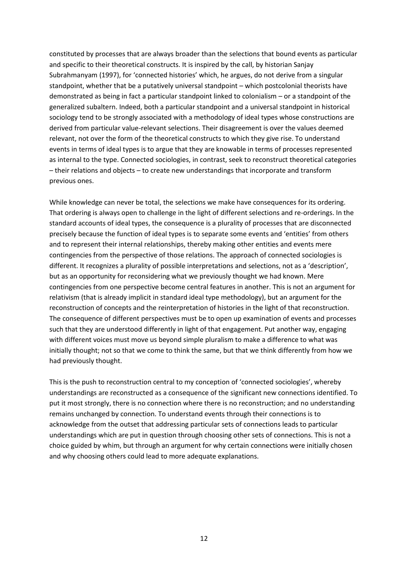constituted by processes that are always broader than the selections that bound events as particular and specific to their theoretical constructs. It is inspired by the call, by historian Sanjay Subrahmanyam (1997), for 'connected histories' which, he argues, do not derive from a singular standpoint, whether that be a putatively universal standpoint – which postcolonial theorists have demonstrated as being in fact a particular standpoint linked to colonialism – or a standpoint of the generalized subaltern. Indeed, both a particular standpoint and a universal standpoint in historical sociology tend to be strongly associated with a methodology of ideal types whose constructions are derived from particular value-relevant selections. Their disagreement is over the values deemed relevant, not over the form of the theoretical constructs to which they give rise. To understand events in terms of ideal types is to argue that they are knowable in terms of processes represented as internal to the type. Connected sociologies, in contrast, seek to reconstruct theoretical categories – their relations and objects – to create new understandings that incorporate and transform previous ones.

While knowledge can never be total, the selections we make have consequences for its ordering. That ordering is always open to challenge in the light of different selections and re-orderings. In the standard accounts of ideal types, the consequence is a plurality of processes that are disconnected precisely because the function of ideal types is to separate some events and 'entities' from others and to represent their internal relationships, thereby making other entities and events mere contingencies from the perspective of those relations. The approach of connected sociologies is different. It recognizes a plurality of possible interpretations and selections, not as a 'description', but as an opportunity for reconsidering what we previously thought we had known. Mere contingencies from one perspective become central features in another. This is not an argument for relativism (that is already implicit in standard ideal type methodology), but an argument for the reconstruction of concepts and the reinterpretation of histories in the light of that reconstruction. The consequence of different perspectives must be to open up examination of events and processes such that they are understood differently in light of that engagement. Put another way, engaging with different voices must move us beyond simple pluralism to make a difference to what was initially thought; not so that we come to think the same, but that we think differently from how we had previously thought.

This is the push to reconstruction central to my conception of 'connected sociologies', whereby understandings are reconstructed as a consequence of the significant new connections identified. To put it most strongly, there is no connection where there is no reconstruction; and no understanding remains unchanged by connection. To understand events through their connections is to acknowledge from the outset that addressing particular sets of connections leads to particular understandings which are put in question through choosing other sets of connections. This is not a choice guided by whim, but through an argument for why certain connections were initially chosen and why choosing others could lead to more adequate explanations.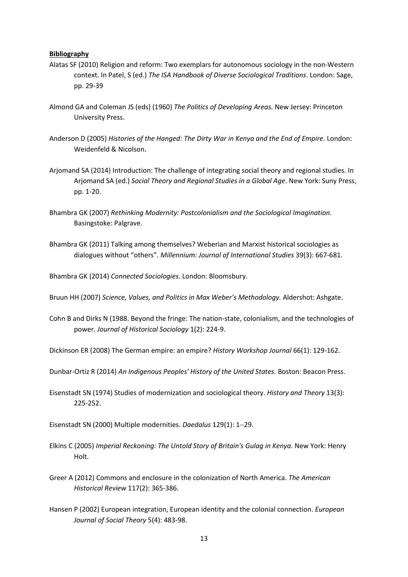#### **Bibliography**

- Alatas SF (2010) Religion and reform: Two exemplars for autonomous sociology in the non-Western context. In Patel, S (ed.) *The ISA Handbook of Diverse Sociological Traditions*. London: Sage, pp. 29-39
- Almond GA and Coleman JS (eds) (1960) *The Politics of Developing Areas.* New Jersey: Princeton University Press.
- Anderson D (2005) *Histories of the Hanged: The Dirty War in Kenya and the End of Empire.* London: Weidenfeld & Nicolson.
- Arjomand SA (2014) Introduction: The challenge of integrating social theory and regional studies. In Arjomand SA (ed.) *Social Theory and Regional Studies in a Global Age*. New York: Suny Press, pp. 1-20.
- Bhambra GK (2007) *Rethinking Modernity: Postcolonialism and the Sociological Imagination*. Basingstoke: Palgrave.
- Bhambra GK (2011) Talking among themselves? Weberian and Marxist historical sociologies as dialogues without "others". *Millennium: Journal of International Studies* 39(3): 667-681.

Bhambra GK (2014) *Connected Sociologies*. London: Bloomsbury.

- Bruun HH (2007) *Science, Values, and Politics in Max Weber's Methodology.* Aldershot: Ashgate.
- Cohn B and Dirks N (1988. Beyond the fringe: The nation-state, colonialism, and the technologies of power. *Journal of Historical Sociology* 1(2): 224-9.

Dickinson ER (2008) The German empire: an empire? *History Workshop Journal* 66(1): 129-162.

Dunbar-Ortiz R (2014) *An Indigenous Peoples' History of the United States.* Boston: Beacon Press.

- Eisenstadt SN (1974) Studies of modernization and sociological theory. *History and Theory* 13(3): 225-252.
- Eisenstadt SN (2000) Multiple modernities. *Daedalus* 129(1): 1-29.
- Elkins C (2005) *Imperial Reckoning: The Untold Story of Britain's Gulag in Kenya.* New York: Henry Holt.
- Greer A (2012) Commons and enclosure in the colonization of North America. *The American Historical Review* 117(2): 365-386.
- Hansen P (2002) European integration, European identity and the colonial connection. *European Journal of Social Theory* 5(4): 483-98.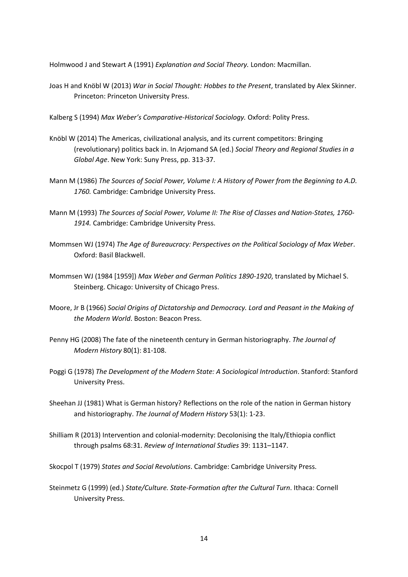Holmwood J and Stewart A (1991) *Explanation and Social Theory.* London: Macmillan.

Joas H and Knöbl W (2013) *War in Social Thought: Hobbes to the Present*, translated by Alex Skinner. Princeton: Princeton University Press.

Kalberg S (1994) *Max Weber's Comparative-Historical Sociology.* Oxford: Polity Press.

- Knöbl W (2014) The Americas, civilizational analysis, and its current competitors: Bringing (revolutionary) politics back in. In Arjomand SA (ed.) *Social Theory and Regional Studies in a Global Age*. New York: Suny Press, pp. 313-37.
- Mann M (1986) *The Sources of Social Power, Volume I: A History of Power from the Beginning to A.D. 1760.* Cambridge: Cambridge University Press.
- Mann M (1993) *The Sources of Social Power, Volume II: The Rise of Classes and Nation-States, 1760- 1914.* Cambridge: Cambridge University Press.
- Mommsen WJ (1974) *The Age of Bureaucracy: Perspectives on the Political Sociology of Max Weber*. Oxford: Basil Blackwell.
- Mommsen WJ (1984 [1959]) *Max Weber and German Politics 1890-1920*, translated by Michael S. Steinberg. Chicago: University of Chicago Press.
- Moore, Jr B (1966) *Social Origins of Dictatorship and Democracy. Lord and Peasant in the Making of the Modern World*. Boston: Beacon Press.
- Penny HG (2008) The fate of the nineteenth century in German historiography. *The Journal of Modern History* 80(1): 81-108.
- Poggi G (1978) *The Development of the Modern State: A Sociological Introduction*. Stanford: Stanford University Press.
- Sheehan JJ (1981) What is German history? Reflections on the role of the nation in German history and historiography. *The Journal of Modern History* 53(1): 1-23.
- Shilliam R (2013) Intervention and colonial-modernity: Decolonising the Italy/Ethiopia conflict through psalms 68:31. *Review of International Studies* 39: 1131–1147.
- Skocpol T (1979) *States and Social Revolutions*. Cambridge: Cambridge University Press.
- Steinmetz G (1999) (ed.) *State/Culture. State-Formation after the Cultural Turn*. Ithaca: Cornell University Press.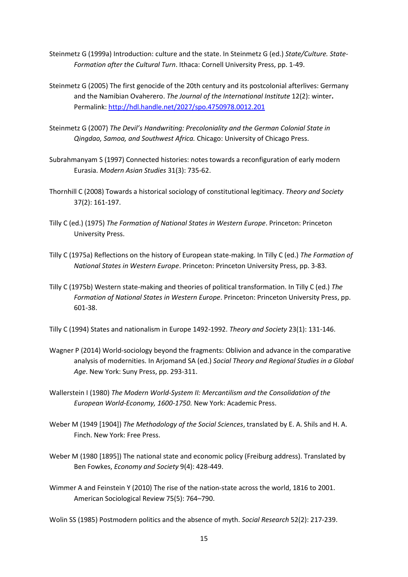- Steinmetz G (1999a) Introduction: culture and the state. In Steinmetz G (ed.) *State/Culture. State-Formation after the Cultural Turn*. Ithaca: Cornell University Press, pp. 1-49.
- Steinmetz G (2005) The first genocide of the 20th century and its postcolonial afterlives: Germany and the Namibian Ovaherero. *The Journal of the International Institute* 12(2): winter**.**  Permalink:<http://hdl.handle.net/2027/spo.4750978.0012.201>
- Steinmetz G (2007) *The Devil's Handwriting: Precoloniality and the German Colonial State in Qingdao, Samoa, and Southwest Africa.* Chicago: University of Chicago Press.
- Subrahmanyam S (1997) Connected histories: notes towards a reconfiguration of early modern Eurasia. *Modern Asian Studies* 31(3): 735-62.
- Thornhill C (2008) Towards a historical sociology of constitutional legitimacy. *Theory and Society* 37(2): 161-197.
- Tilly C (ed.) (1975) *The Formation of National States in Western Europe*. Princeton: Princeton University Press.
- Tilly C (1975a) Reflections on the history of European state-making. In Tilly C (ed.) *The Formation of National States in Western Europe*. Princeton: Princeton University Press, pp. 3-83.
- Tilly C (1975b) Western state-making and theories of political transformation. In Tilly C (ed.) *The Formation of National States in Western Europe*. Princeton: Princeton University Press, pp. 601-38.
- Tilly C (1994) States and nationalism in Europe 1492-1992. *Theory and Society* 23(1): 131-146.
- Wagner P (2014) World-sociology beyond the fragments: Oblivion and advance in the comparative analysis of modernities. In Arjomand SA (ed.) *Social Theory and Regional Studies in a Global Age*. New York: Suny Press, pp. 293-311.
- Wallerstein I (1980) *The Modern World-System II: Mercantilism and the Consolidation of the European World-Economy, 1600-1750.* New York: Academic Press.
- Weber M (1949 [1904]) *The Methodology of the Social Sciences*, translated by E. A. Shils and H. A. Finch. New York: Free Press.
- Weber M (1980 [1895]) The national state and economic policy (Freiburg address). Translated by Ben Fowkes, *Economy and Society* 9(4): 428-449.
- Wimmer A and Feinstein Y (2010) The rise of the nation-state across the world, 1816 to 2001. American Sociological Review 75(5): 764–790.

Wolin SS (1985) Postmodern politics and the absence of myth. *Social Research* 52(2): 217-239.